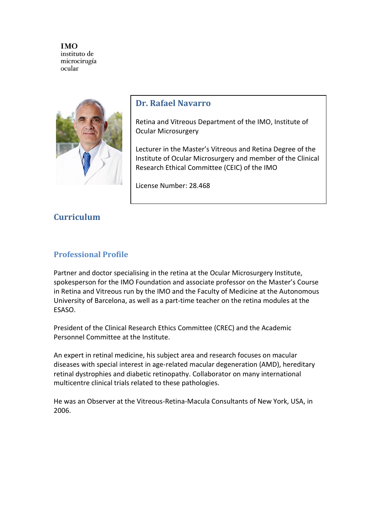

## **Dr. Rafael Navarro**

Retina and Vitreous Department of the IMO, Institute of Ocular Microsurgery

Lecturer in the Master's Vitreous and Retina Degree of the Institute of Ocular Microsurgery and member of the Clinical Research Ethical Committee (CEIC) of the IMO

License Number: 28.468

# **Curriculum**

# **Professional Profile**

Partner and doctor specialising in the retina at the Ocular Microsurgery Institute, spokesperson for the IMO Foundation and associate professor on the Master's Course in Retina and Vitreous run by the IMO and the Faculty of Medicine at the Autonomous University of Barcelona, as well as a part-time teacher on the retina modules at the ESASO.

President of the Clinical Research Ethics Committee (CREC) and the Academic Personnel Committee at the Institute.

An expert in retinal medicine, his subject area and research focuses on macular diseases with special interest in age-related macular degeneration (AMD), hereditary retinal dystrophies and diabetic retinopathy. Collaborator on many international multicentre clinical trials related to these pathologies.

He was an Observer at the Vitreous-Retina-Macula Consultants of New York, USA, in 2006.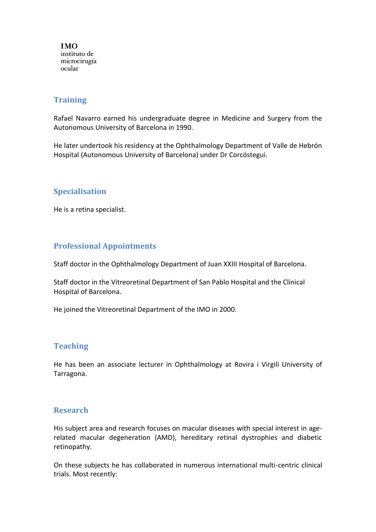#### **Training**

Rafael Navarro earned his undergraduate degree in Medicine and Surgery from the Autonomous University of Barcelona in 1990.

He later undertook his residency at the Ophthalmology Department of Valle de Hebrón Hospital (Autonomous University of Barcelona) under Dr Corcóstegui.

## **Specialisation**

He is a retina specialist.

## **Professional Appointments**

Staff doctor in the Ophthalmology Department of Juan XXIII Hospital of Barcelona.

Staff doctor in the Vitreoretinal Department of San Pablo Hospital and the Clinical Hospital of Barcelona.

He joined the Vitreoretinal Department of the IMO in 2000.

#### **Teaching**

He has been an associate lecturer in Ophthalmology at Rovira i Virgili University of Tarragona.

#### **Research**

His subject area and research focuses on macular diseases with special interest in agerelated macular degeneration (AMD), hereditary retinal dystrophies and diabetic retinopathy.

On these subjects he has collaborated in numerous international multi-centric clinical trials. Most recently: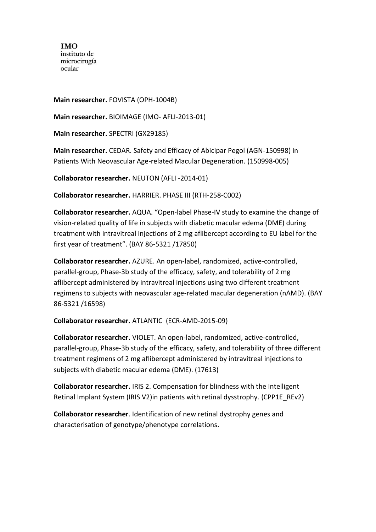**Main researcher.** FOVISTA (OPH-1004B)

**Main researcher.** BIOIMAGE (IMO- AFLI-2013-01)

**Main researcher.** SPECTRI (GX29185)

**Main researcher.** CEDAR. Safety and Efficacy of Abicipar Pegol (AGN-150998) in Patients With Neovascular Age-related Macular Degeneration. (150998-005)

**Collaborator researcher.** NEUTON (AFLI -2014-01)

**Collaborator researcher.** HARRIER. PHASE III (RTH-258-C002)

**Collaborator researcher.** AQUA. "Open-label Phase-IV study to examine the change of vision-related quality of life in subjects with diabetic macular edema (DME) during treatment with intravitreal injections of 2 mg aflibercept according to EU label for the first year of treatment". (BAY 86-5321 /17850)

**Collaborator researcher.** AZURE. An open-label, randomized, active-controlled, parallel-group, Phase-3b study of the efficacy, safety, and tolerability of 2 mg aflibercept administered by intravitreal injections using two different treatment regimens to subjects with neovascular age-related macular degeneration (nAMD). (BAY 86-5321 /16598)

#### **Collaborator researcher.** ATLANTIC (ECR-AMD-2015-09)

**Collaborator researcher.** VIOLET. An open-label, randomized, active-controlled, parallel-group, Phase-3b study of the efficacy, safety, and tolerability of three different treatment regimens of 2 mg aflibercept administered by intravitreal injections to subjects with diabetic macular edema (DME). (17613)

**Collaborator researcher.** IRIS 2. Compensation for blindness with the Intelligent Retinal Implant System (IRIS V2)in patients with retinal dysstrophy. (CPP1E\_REv2)

**Collaborator researcher**. Identification of new retinal dystrophy genes and characterisation of genotype/phenotype correlations.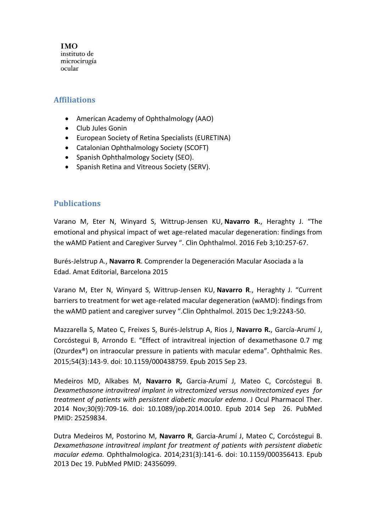#### **Affiliations**

- American Academy of Ophthalmology (AAO)
- Club Jules Gonin
- European Society of Retina Specialists (EURETINA)
- Catalonian Ophthalmology Society (SCOFT)
- Spanish Ophthalmology Society (SEO).
- Spanish Retina and Vitreous Society (SERV).

## **Publications**

Varano M, Eter N, Winyard S, Wittrup-Jensen KU, **Navarro R.**, Heraghty J. "The emotional and physical impact of wet age-related macular degeneration: findings from the wAMD Patient and Caregiver Survey ". Clin Ophthalmol. 2016 Feb 3;10:257-67.

Burés-Jelstrup A., **Navarro R**. Comprender la Degeneración Macular Asociada a la Edad. Amat Editorial, Barcelona 2015

Varano M, Eter N, Winyard S, Wittrup-Jensen KU, **Navarro R**., Heraghty J. "Current barriers to treatment for wet age-related macular degeneration (wAMD): findings from the wAMD patient and caregiver survey ".Clin Ophthalmol. 2015 Dec 1;9:2243-50.

Mazzarella S, Mateo C, Freixes S, Burés-Jelstrup A, Rios J, **Navarro R.**, García-Arumí J, Corcóstegui B, Arrondo E. "Effect of intravitreal injection of dexamethasone 0.7 mg (Ozurdex®) on intraocular pressure in patients with macular edema". Ophthalmic Res. 2015;54(3):143-9. doi: 10.1159/000438759. Epub 2015 Sep 23.

Medeiros MD, Alkabes M, **Navarro R,** Garcia-Arumí J, Mateo C, Corcóstegui B. *Dexamethasone intravitreal implant in vitrectomized versus nonvitrectomized eyes for treatment of patients with persistent diabetic macular edema*. J Ocul Pharmacol Ther. 2014 Nov;30(9):709-16. doi: 10.1089/jop.2014.0010. Epub 2014 Sep 26. PubMed PMID: 25259834.

Dutra Medeiros M, Postorino M, **Navarro R**, Garcia-Arumí J, Mateo C, Corcóstegui B. *Dexamethasone intravitreal implant for treatment of patients with persistent diabetic macular edema.* Ophthalmologica. 2014;231(3):141-6. doi: 10.1159/000356413. Epub 2013 Dec 19. PubMed PMID: 24356099.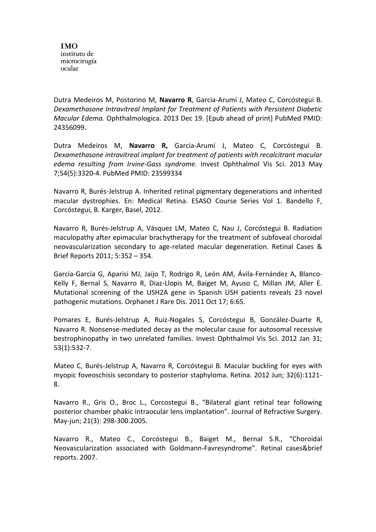Dutra Medeiros M, Postorino M, **Navarro R**, Garcia-Arumí J, Mateo C, Corcóstegui B. *Dexamethasone Intravitreal Implant for Treatment of Patients with Persistent Diabetic Macular Edema.* Ophthalmologica. 2013 Dec 19. [Epub ahead of print] PubMed PMID: 24356099.

Dutra Medeiros M, **Navarro R,** Garcia-Arumí J, Mateo C, Corcóstegui B. *Dexamethasone intravitreal implant for treatment of patients with recalcitrant macular edema resulting from Irvine-Gass syndrome.* Invest Ophthalmol Vis Sci. 2013 May 7;54(5):3320-4. PubMed PMID: 23599334

Navarro R, Burés-Jelstrup A. Inherited retinal pigmentary degenerations and inherited macular dystrophies. En: Medical Retina. ESASO Course Series Vol 1. Bandello F, Corcóstegui, B. Karger, Basel, 2012.

Navarro R, Burés-Jelstrup A, Vásquez LM, Mateo C, Nau J, Corcóstegui B. Radiation maculopathy after epimacular brachytherapy for the treatment of subfoveal choroidal neovascularization secondary to age-related macular degeneration. Retinal Cases & Brief Reports 2011; 5:352 – 354.

García-García G, Aparisi MJ, Jaijo T, Rodrigo R, León AM, Ávila-Fernández A, Blanco-Kelly F, Bernal S, Navarro R, Diaz-Llopis M, Baiget M, Ayuso C, Millan JM, Aller E. Mutational screening of the USH2A gene in Spanish USH patients reveals 23 novel pathogenic mutations. Orphanet J Rare Dis. 2011 Oct 17; 6:65.

Pomares E, Burés-Jelstrup A, Ruiz-Nogales S, Corcóstegui B, González-Duarte R, Navarro R. Nonsense-mediated decay as the molecular cause for autosomal recessive bestrophinopathy in two unrelated families. Invest Ophthalmol Vis Sci. 2012 Jan 31; 53(1):532-7.

Mateo C, Burés-Jelstrup A, Navarro R, Corcóstegui B. Macular buckling for eyes with myopic foveoschisis secondary to posterior staphyloma. Retina. 2012 Jun; 32(6):1121- 8.

Navarro R., Gris O., Broc L., Corcostegui B., "Bilateral giant retinal tear following posterior chamber phakic intraocular lens implantation". Journal of Refractive Surgery. May-jun; 21(3): 298-300.2005.

Navarro R., Mateo C., Corcóstegui B., Baiget M., Bernal S.R., "Choroidal Neovascularization associated with Goldmann-Favresyndrome". Retinal cases&brief reports. 2007.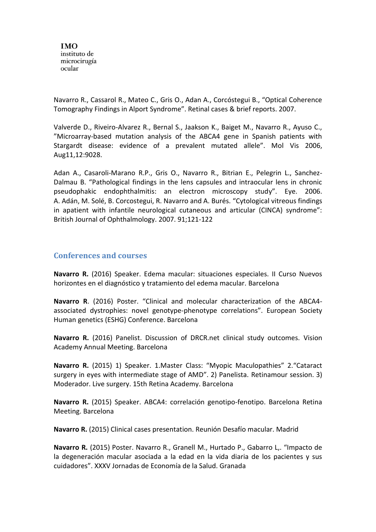Navarro R., Cassarol R., Mateo C., Gris O., Adan A., Corcóstegui B., "Optical Coherence Tomography Findings in Alport Syndrome". Retinal cases & brief reports. 2007.

Valverde D., Riveiro-Alvarez R., Bernal S., Jaakson K., Baiget M., Navarro R., Ayuso C., "Microarray-based mutation analysis of the ABCA4 gene in Spanish patients with Stargardt disease: evidence of a prevalent mutated allele". Mol Vis 2006, Aug11,12:9028.

Adan A., Casaroli-Marano R.P., Gris O., Navarro R., Bitrian E., Pelegrin L., Sanchez-Dalmau B. "Pathological findings in the lens capsules and intraocular lens in chronic pseudophakic endophthalmitis: an electron microscopy study". Eye. 2006. A. Adán, M. Solé, B. Corcostegui, R. Navarro and A. Burés. "Cytological vitreous findings in apatient with infantile neurological cutaneous and articular (CINCA) syndrome": British Journal of Ophthalmology. 2007. 91;121-122

## **Conferences and courses**

**Navarro R.** (2016) Speaker. Edema macular: situaciones especiales. II Curso Nuevos horizontes en el diagnóstico y tratamiento del edema macular. Barcelona

**Navarro R**. (2016) Poster. "Clinical and molecular characterization of the ABCA4 associated dystrophies: novel genotype-phenotype correlations". European Society Human genetics (ESHG) Conference. Barcelona

**Navarro R.** (2016) Panelist. Discussion of DRCR.net clinical study outcomes. Vision Academy Annual Meeting. Barcelona

**Navarro R.** (2015) 1) Speaker. 1.Master Class: "Myopic Maculopathies" 2."Cataract surgery in eyes with intermediate stage of AMD". 2) Panelista. Retinamour session. 3) Moderador. Live surgery. 15th Retina Academy. Barcelona

**Navarro R.** (2015) Speaker. ABCA4: correlación genotipo-fenotipo. Barcelona Retina Meeting. Barcelona

**Navarro R.** (2015) Clinical cases presentation. Reunión Desafío macular. Madrid

**Navarro R.** (2015) Poster. Navarro R., Granell M., Hurtado P., Gabarro L,. "Impacto de la degeneración macular asociada a la edad en la vida diaria de los pacientes y sus cuidadores". XXXV Jornadas de Economía de la Salud. Granada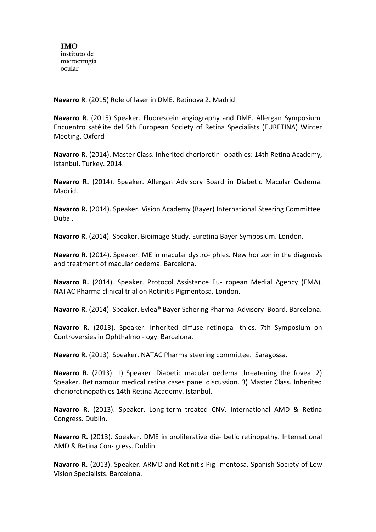**Navarro R**. (2015) Role of laser in DME. Retinova 2. Madrid

**Navarro R**. (2015) Speaker. Fluorescein angiography and DME. Allergan Symposium. Encuentro satélite del 5th European Society of Retina Specialists (EURETINA) Winter Meeting. Oxford

**Navarro R.** (2014). Master Class. Inherited chorioretin- opathies: 14th Retina Academy, Istanbul, Turkey. 2014.

**Navarro R.** (2014). Speaker. Allergan Advisory Board in Diabetic Macular Oedema. Madrid.

**Navarro R.** (2014). Speaker. Vision Academy (Bayer) International Steering Committee. Dubai.

**Navarro R.** (2014). Speaker. Bioimage Study. Euretina Bayer Symposium. London.

**Navarro R.** (2014). Speaker. ME in macular dystro- phies. New horizon in the diagnosis and treatment of macular oedema. Barcelona.

**Navarro R.** (2014). Speaker. Protocol Assistance Eu- ropean Medial Agency (EMA). NATAC Pharma clinical trial on Retinitis Pigmentosa. London.

**Navarro R.** (2014). Speaker. Eylea® Bayer Schering Pharma Advisory Board. Barcelona.

**Navarro R.** (2013). Speaker. Inherited diffuse retinopa- thies. 7th Symposium on Controversies in Ophthalmol- ogy. Barcelona.

**Navarro R.** (2013). Speaker. NATAC Pharma steering committee. Saragossa.

**Navarro R.** (2013). 1) Speaker. Diabetic macular oedema threatening the fovea. 2) Speaker. Retinamour medical retina cases panel discussion. 3) Master Class. Inherited chorioretinopathies 14th Retina Academy. Istanbul.

**Navarro R.** (2013). Speaker. Long-term treated CNV. International AMD & Retina Congress. Dublin.

**Navarro R.** (2013). Speaker. DME in proliferative dia- betic retinopathy. International AMD & Retina Con- gress. Dublin.

**Navarro R.** (2013). Speaker. ARMD and Retinitis Pig- mentosa. Spanish Society of Low Vision Specialists. Barcelona.